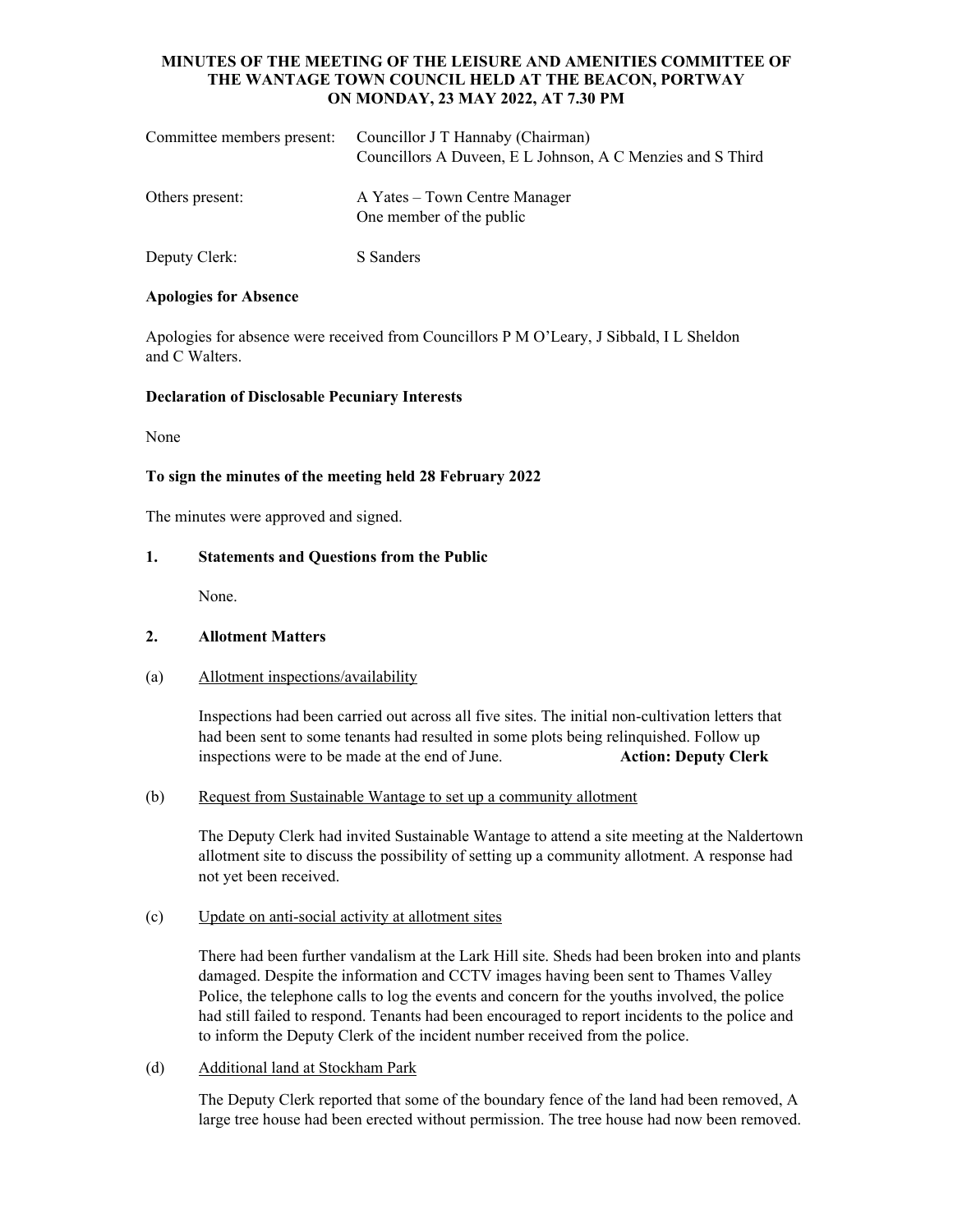## **MINUTES OF THE MEETING OF THE LEISURE AND AMENITIES COMMITTEE OF THE WANTAGE TOWN COUNCIL HELD AT THE BEACON, PORTWAY ON MONDAY, 23 MAY 2022, AT 7.30 PM**

| Committee members present: | Councillor J T Hannaby (Chairman)<br>Councillors A Duveen, E L Johnson, A C Menzies and S Third |
|----------------------------|-------------------------------------------------------------------------------------------------|
| Others present:            | A Yates – Town Centre Manager<br>One member of the public                                       |
| Deputy Clerk:              | S Sanders                                                                                       |

#### **Apologies for Absence**

Apologies for absence were received from Councillors P M O'Leary, J Sibbald, I L Sheldon and C Walters.

#### **Declaration of Disclosable Pecuniary Interests**

None

# **To sign the minutes of the meeting held 28 February 2022**

The minutes were approved and signed.

## **1. Statements and Questions from the Public**

None.

# **2. Allotment Matters**

# (a) Allotment inspections/availability

Inspections had been carried out across all five sites. The initial non-cultivation letters that had been sent to some tenants had resulted in some plots being relinquished. Follow up inspections were to be made at the end of June. **Action: Deputy Clerk**

#### (b) Request from Sustainable Wantage to set up a community allotment

 The Deputy Clerk had invited Sustainable Wantage to attend a site meeting at the Naldertown allotment site to discuss the possibility of setting up a community allotment. A response had not yet been received.

# (c) Update on anti-social activity at allotment sites

There had been further vandalism at the Lark Hill site. Sheds had been broken into and plants damaged. Despite the information and CCTV images having been sent to Thames Valley Police, the telephone calls to log the events and concern for the youths involved, the police had still failed to respond. Tenants had been encouraged to report incidents to the police and to inform the Deputy Clerk of the incident number received from the police.

# (d) Additional land at Stockham Park

The Deputy Clerk reported that some of the boundary fence of the land had been removed, A large tree house had been erected without permission. The tree house had now been removed.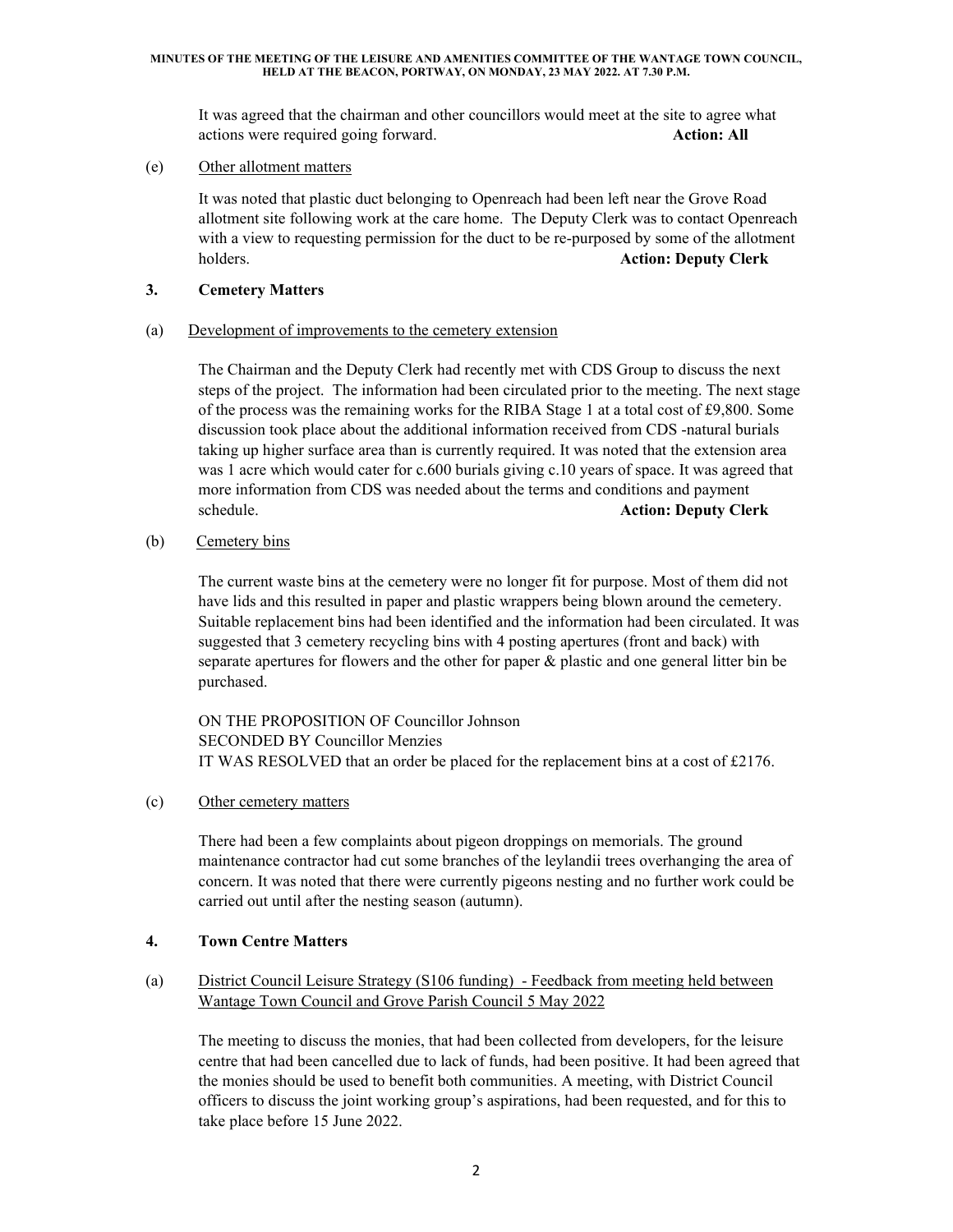#### **MINUTES OF THE MEETING OF THE LEISURE AND AMENITIES COMMITTEE OF THE WANTAGE TOWN COUNCIL, HELD AT THE BEACON, PORTWAY, ON MONDAY, 23 MAY 2022. AT 7.30 P.M.**

It was agreed that the chairman and other councillors would meet at the site to agree what actions were required going forward. **Action: All** 

(e) Other allotment matters

It was noted that plastic duct belonging to Openreach had been left near the Grove Road allotment site following work at the care home. The Deputy Clerk was to contact Openreach with a view to requesting permission for the duct to be re-purposed by some of the allotment holders. **Action: Deputy Clerk**

#### **3. Cemetery Matters**

#### (a) Development of improvements to the cemetery extension

The Chairman and the Deputy Clerk had recently met with CDS Group to discuss the next steps of the project. The information had been circulated prior to the meeting. The next stage of the process was the remaining works for the RIBA Stage 1 at a total cost of £9,800. Some discussion took place about the additional information received from CDS -natural burials taking up higher surface area than is currently required. It was noted that the extension area was 1 acre which would cater for c.600 burials giving c.10 years of space. It was agreed that more information from CDS was needed about the terms and conditions and payment schedule. **Action: Deputy Clerk**

(b) Cemetery bins

The current waste bins at the cemetery were no longer fit for purpose. Most of them did not have lids and this resulted in paper and plastic wrappers being blown around the cemetery. Suitable replacement bins had been identified and the information had been circulated. It was suggested that 3 cemetery recycling bins with 4 posting apertures (front and back) with separate apertures for flowers and the other for paper & plastic and one general litter bin be purchased.

ON THE PROPOSITION OF Councillor Johnson SECONDED BY Councillor Menzies IT WAS RESOLVED that an order be placed for the replacement bins at a cost of £2176.

(c) Other cemetery matters

There had been a few complaints about pigeon droppings on memorials. The ground maintenance contractor had cut some branches of the leylandii trees overhanging the area of concern. It was noted that there were currently pigeons nesting and no further work could be carried out until after the nesting season (autumn).

#### **4. Town Centre Matters**

## (a) District Council Leisure Strategy (S106 funding) - Feedback from meeting held between Wantage Town Council and Grove Parish Council 5 May 2022

The meeting to discuss the monies, that had been collected from developers, for the leisure centre that had been cancelled due to lack of funds, had been positive. It had been agreed that the monies should be used to benefit both communities. A meeting, with District Council officers to discuss the joint working group's aspirations, had been requested, and for this to take place before 15 June 2022.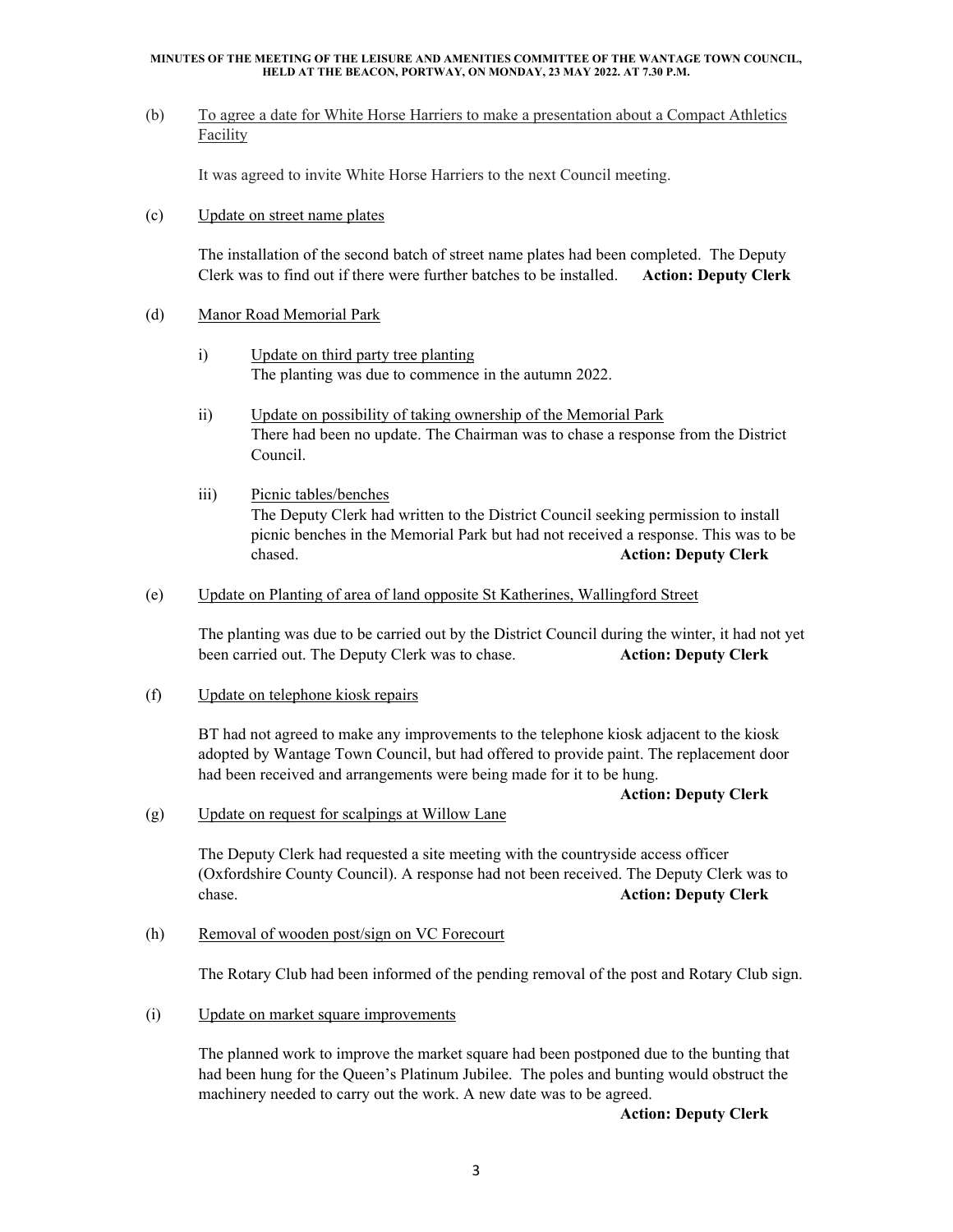#### **MINUTES OF THE MEETING OF THE LEISURE AND AMENITIES COMMITTEE OF THE WANTAGE TOWN COUNCIL, HELD AT THE BEACON, PORTWAY, ON MONDAY, 23 MAY 2022. AT 7.30 P.M.**

(b) To agree a date for White Horse Harriers to make a presentation about a Compact Athletics Facility

It was agreed to invite White Horse Harriers to the next Council meeting.

(c) Update on street name plates

The installation of the second batch of street name plates had been completed. The Deputy Clerk was to find out if there were further batches to be installed. **Action: Deputy Clerk**

- (d) Manor Road Memorial Park
	- i) Update on third party tree planting The planting was due to commence in the autumn 2022.
	- ii) Update on possibility of taking ownership of the Memorial Park There had been no update. The Chairman was to chase a response from the District Council.
	- iii) Picnic tables/benches The Deputy Clerk had written to the District Council seeking permission to install picnic benches in the Memorial Park but had not received a response. This was to be chased. **Action: Deputy Clerk**
- (e) Update on Planting of area of land opposite St Katherines, Wallingford Street

The planting was due to be carried out by the District Council during the winter, it had not yet been carried out. The Deputy Clerk was to chase. **Action: Deputy Clerk**

(f) Update on telephone kiosk repairs

BT had not agreed to make any improvements to the telephone kiosk adjacent to the kiosk adopted by Wantage Town Council, but had offered to provide paint. The replacement door had been received and arrangements were being made for it to be hung.

#### **Action: Deputy Clerk**

(g) Update on request for scalpings at Willow Lane

The Deputy Clerk had requested a site meeting with the countryside access officer (Oxfordshire County Council). A response had not been received. The Deputy Clerk was to chase. **Action: Deputy Clerk** 

(h) Removal of wooden post/sign on VC Forecourt

The Rotary Club had been informed of the pending removal of the post and Rotary Club sign.

(i) Update on market square improvements

The planned work to improve the market square had been postponed due to the bunting that had been hung for the Queen's Platinum Jubilee. The poles and bunting would obstruct the machinery needed to carry out the work. A new date was to be agreed.

**Action: Deputy Clerk**